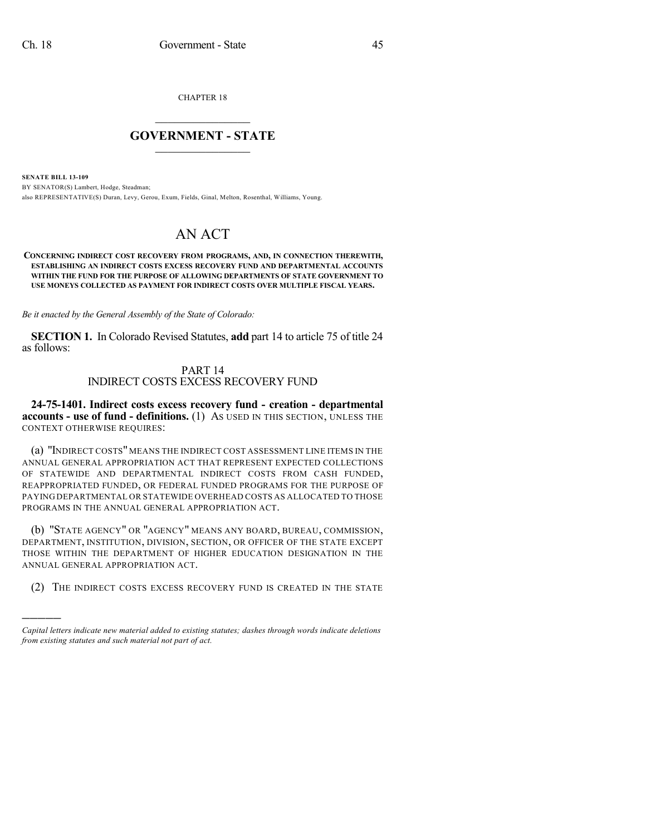)))))

CHAPTER 18

## $\mathcal{L}_\text{max}$  . The set of the set of the set of the set of the set of the set of the set of the set of the set of the set of the set of the set of the set of the set of the set of the set of the set of the set of the set **GOVERNMENT - STATE**  $\_$   $\_$   $\_$   $\_$   $\_$   $\_$   $\_$   $\_$   $\_$

**SENATE BILL 13-109** BY SENATOR(S) Lambert, Hodge, Steadman; also REPRESENTATIVE(S) Duran, Levy, Gerou, Exum, Fields, Ginal, Melton, Rosenthal, Williams, Young.

## AN ACT

**CONCERNING INDIRECT COST RECOVERY FROM PROGRAMS, AND, IN CONNECTION THEREWITH, ESTABLISHING AN INDIRECT COSTS EXCESS RECOVERY FUND AND DEPARTMENTAL ACCOUNTS WITHIN THE FUND FOR THE PURPOSE OF ALLOWING DEPARTMENTS OF STATE GOVERNMENT TO USE MONEYS COLLECTED AS PAYMENT FOR INDIRECT COSTS OVER MULTIPLE FISCAL YEARS.**

*Be it enacted by the General Assembly of the State of Colorado:*

**SECTION 1.** In Colorado Revised Statutes, **add** part 14 to article 75 of title 24 as follows:

## PART 14 INDIRECT COSTS EXCESS RECOVERY FUND

**24-75-1401. Indirect costs excess recovery fund - creation - departmental accounts - use of fund - definitions.** (1) AS USED IN THIS SECTION, UNLESS THE CONTEXT OTHERWISE REQUIRES:

(a) "INDIRECT COSTS" MEANS THE INDIRECT COST ASSESSMENT LINE ITEMS IN THE ANNUAL GENERAL APPROPRIATION ACT THAT REPRESENT EXPECTED COLLECTIONS OF STATEWIDE AND DEPARTMENTAL INDIRECT COSTS FROM CASH FUNDED, REAPPROPRIATED FUNDED, OR FEDERAL FUNDED PROGRAMS FOR THE PURPOSE OF PAYING DEPARTMENTAL OR STATEWIDE OVERHEAD COSTS AS ALLOCATED TO THOSE PROGRAMS IN THE ANNUAL GENERAL APPROPRIATION ACT.

(b) "STATE AGENCY" OR "AGENCY" MEANS ANY BOARD, BUREAU, COMMISSION, DEPARTMENT, INSTITUTION, DIVISION, SECTION, OR OFFICER OF THE STATE EXCEPT THOSE WITHIN THE DEPARTMENT OF HIGHER EDUCATION DESIGNATION IN THE ANNUAL GENERAL APPROPRIATION ACT.

(2) THE INDIRECT COSTS EXCESS RECOVERY FUND IS CREATED IN THE STATE

*Capital letters indicate new material added to existing statutes; dashes through words indicate deletions from existing statutes and such material not part of act.*